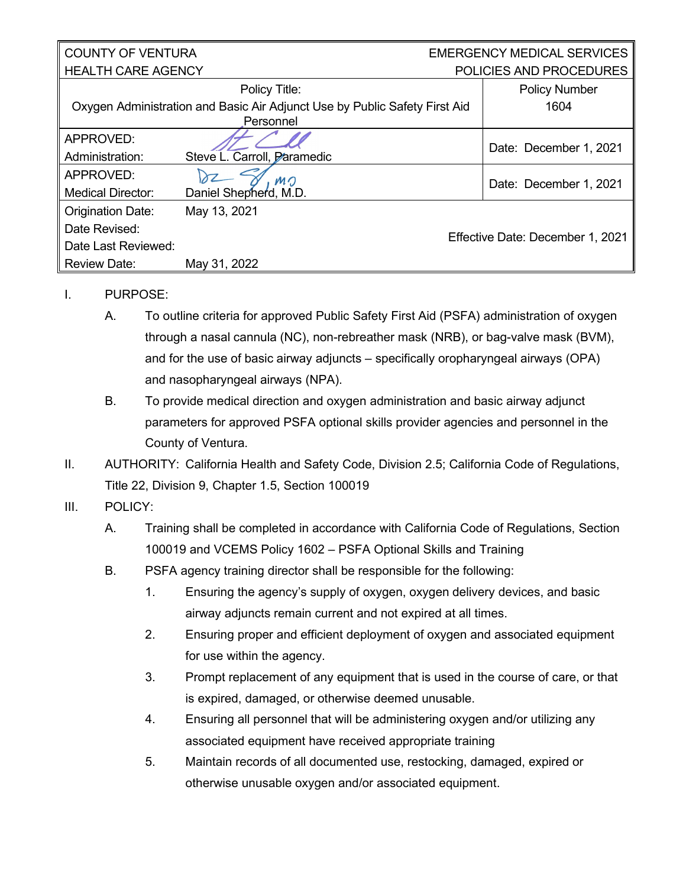| <b>COUNTY OF VENTURA</b>  |                                                                            | <b>EMERGENCY MEDICAL SERVICES</b> |                                  |
|---------------------------|----------------------------------------------------------------------------|-----------------------------------|----------------------------------|
| <b>HEALTH CARE AGENCY</b> |                                                                            | POLICIES AND PROCEDURES           |                                  |
|                           | Policy Title:                                                              |                                   | <b>Policy Number</b>             |
|                           | Oxygen Administration and Basic Air Adjunct Use by Public Safety First Aid |                                   | 1604                             |
|                           | Personnel                                                                  |                                   |                                  |
| APPROVED:                 |                                                                            |                                   | Date: December 1, 2021           |
| Administration:           | Steve L. Carroll, Paramedic                                                |                                   |                                  |
| APPROVED:                 | MO                                                                         |                                   | Date: December 1, 2021           |
| <b>Medical Director:</b>  | Daniel Shepherd, M.D.                                                      |                                   |                                  |
| <b>Origination Date:</b>  | May 13, 2021                                                               |                                   |                                  |
| Date Revised:             |                                                                            |                                   |                                  |
| Date Last Reviewed:       |                                                                            |                                   | Effective Date: December 1, 2021 |
| <b>Review Date:</b>       | May 31, 2022                                                               |                                   |                                  |

## I. PURPOSE:

- A. To outline criteria for approved Public Safety First Aid (PSFA) administration of oxygen through a nasal cannula (NC), non-rebreather mask (NRB), or bag-valve mask (BVM), and for the use of basic airway adjuncts – specifically oropharyngeal airways (OPA) and nasopharyngeal airways (NPA).
- B. To provide medical direction and oxygen administration and basic airway adjunct parameters for approved PSFA optional skills provider agencies and personnel in the County of Ventura.
- II. AUTHORITY: California Health and Safety Code, Division 2.5; California Code of Regulations, Title 22, Division 9, Chapter 1.5, Section 100019

## III. POLICY:

- A. Training shall be completed in accordance with California Code of Regulations, Section 100019 and VCEMS Policy 1602 – PSFA Optional Skills and Training
- B. PSFA agency training director shall be responsible for the following:
	- 1. Ensuring the agency's supply of oxygen, oxygen delivery devices, and basic airway adjuncts remain current and not expired at all times.
	- 2. Ensuring proper and efficient deployment of oxygen and associated equipment for use within the agency.
	- 3. Prompt replacement of any equipment that is used in the course of care, or that is expired, damaged, or otherwise deemed unusable.
	- 4. Ensuring all personnel that will be administering oxygen and/or utilizing any associated equipment have received appropriate training
	- 5. Maintain records of all documented use, restocking, damaged, expired or otherwise unusable oxygen and/or associated equipment.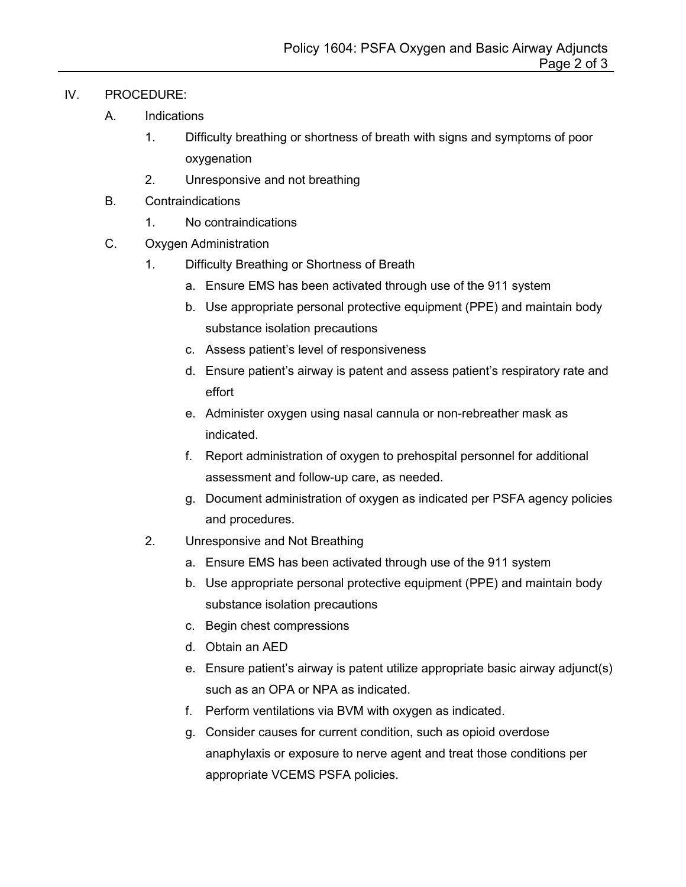## IV. PROCEDURE:

- A. Indications
	- 1. Difficulty breathing or shortness of breath with signs and symptoms of poor oxygenation
	- 2. Unresponsive and not breathing
- B. Contraindications
	- 1. No contraindications
- C. Oxygen Administration
	- 1. Difficulty Breathing or Shortness of Breath
		- a. Ensure EMS has been activated through use of the 911 system
		- b. Use appropriate personal protective equipment (PPE) and maintain body substance isolation precautions
		- c. Assess patient's level of responsiveness
		- d. Ensure patient's airway is patent and assess patient's respiratory rate and effort
		- e. Administer oxygen using nasal cannula or non-rebreather mask as indicated.
		- f. Report administration of oxygen to prehospital personnel for additional assessment and follow-up care, as needed.
		- g. Document administration of oxygen as indicated per PSFA agency policies and procedures.
	- 2. Unresponsive and Not Breathing
		- a. Ensure EMS has been activated through use of the 911 system
		- b. Use appropriate personal protective equipment (PPE) and maintain body substance isolation precautions
		- c. Begin chest compressions
		- d. Obtain an AED
		- e. Ensure patient's airway is patent utilize appropriate basic airway adjunct(s) such as an OPA or NPA as indicated.
		- f. Perform ventilations via BVM with oxygen as indicated.
		- g. Consider causes for current condition, such as opioid overdose anaphylaxis or exposure to nerve agent and treat those conditions per appropriate VCEMS PSFA policies.